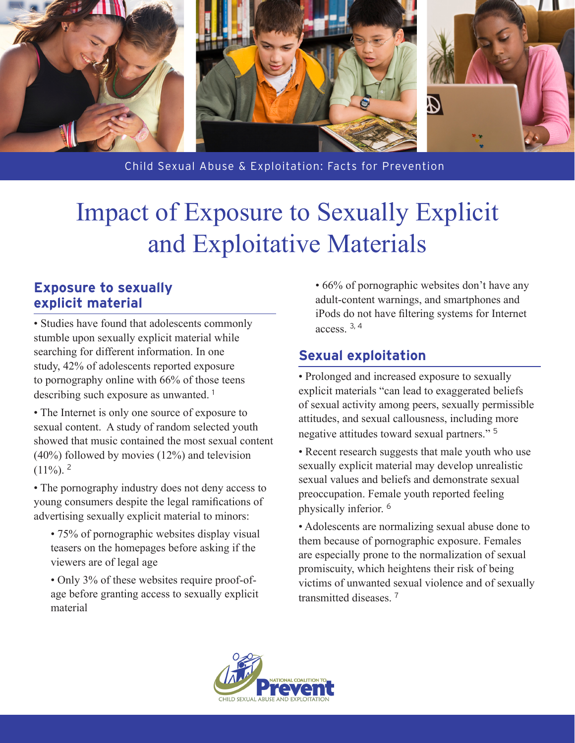

Child Sexual Abuse & Exploitation: Facts for Prevention

## Impact of Exposure to Sexually Explicit and Exploitative Materials

## **Exposure to sexually explicit material**

• Studies have found that adolescents commonly stumble upon sexually explicit material while searching for different information. In one study, 42% of adolescents reported exposure to pornography online with 66% of those teens describing such exposure as unwanted. <sup>1</sup>

• The Internet is only one source of exposure to sexual content. A study of random selected youth showed that music contained the most sexual content (40%) followed by movies (12%) and television  $(11\%)$ <sup>2</sup>

• The pornography industry does not deny access to young consumers despite the legal ramifications of advertising sexually explicit material to minors:

- 75% of pornographic websites display visual teasers on the homepages before asking if the viewers are of legal age
- Only 3% of these websites require proof-ofage before granting access to sexually explicit material

• 66% of pornographic websites don't have any adult-content warnings, and smartphones and iPods do not have filtering systems for Internet access $3, 4$ 

## **Sexual exploitation**

• Prolonged and increased exposure to sexually explicit materials "can lead to exaggerated beliefs of sexual activity among peers, sexually permissible attitudes, and sexual callousness, including more negative attitudes toward sexual partners." <sup>5</sup>

• Recent research suggests that male youth who use sexually explicit material may develop unrealistic sexual values and beliefs and demonstrate sexual preoccupation. Female youth reported feeling physically inferior. <sup>6</sup>

• Adolescents are normalizing sexual abuse done to them because of pornographic exposure. Females are especially prone to the normalization of sexual promiscuity, which heightens their risk of being victims of unwanted sexual violence and of sexually transmitted diseases<sup>7</sup>